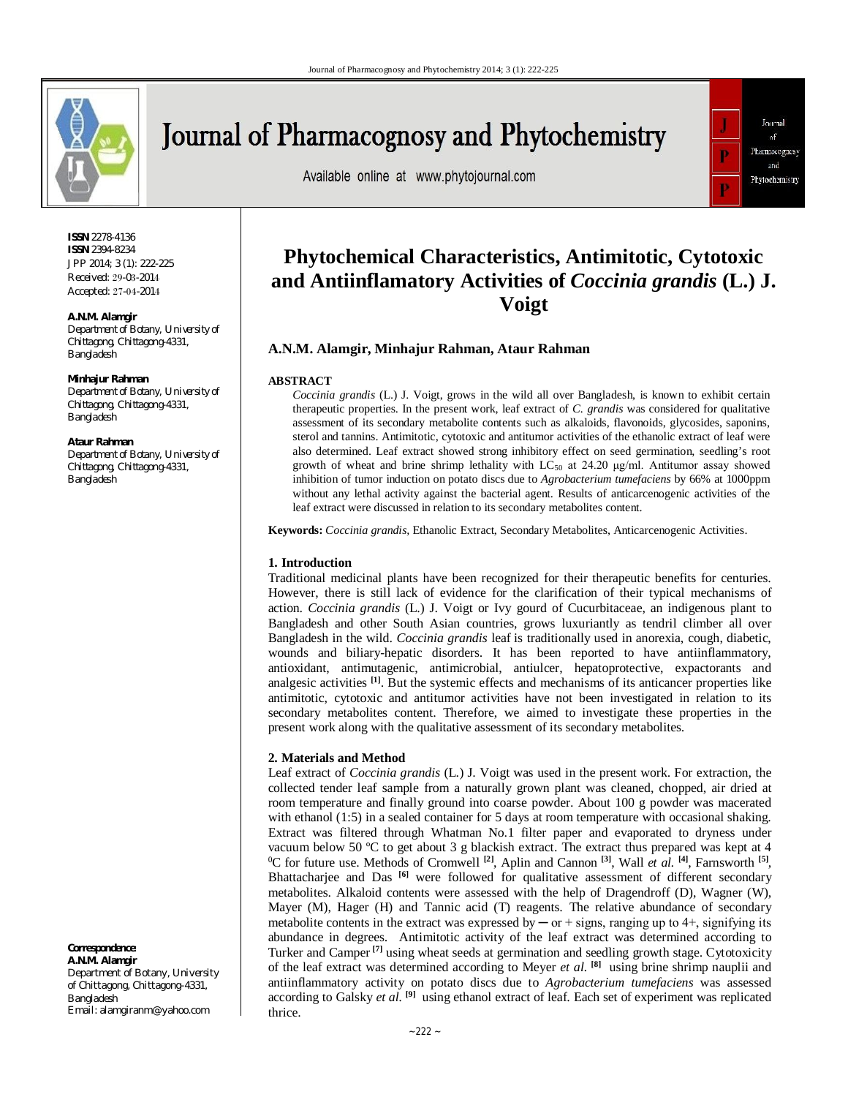

# Journal of Pharmacognosy and Phytochemistry

Available online at www.phytojournal.com



**ISSN** 2278-4136 **ISSN** 2394-8234 JPP 2014; 3 (1): 222-225 Received: 29-03-2014 Accepted: 27-04-2014

#### **A.N.M. Alamgir**

*Department of Botany, University of Chittagong, Chittagong-4331, Bangladesh* 

#### **Minhajur Rahman**

*Department of Botany, University of Chittagong, Chittagong-4331, Bangladesh* 

#### **Ataur Rahman**

*Department of Botany, University of Chittagong, Chittagong-4331, Bangladesh* 

**Correspondence**: **A.N.M. Alamgir**

Department of Botany, University of Chittagong, Chittagong-4331, Bangladesh Email: alamgiranm@yahoo.com

# **Phytochemical Characteristics, Antimitotic, Cytotoxic and Antiinflamatory Activities of** *Coccinia grandis* **(L.) J. Voigt**

## **A.N.M. Alamgir, Minhajur Rahman, Ataur Rahman**

#### **ABSTRACT**

*Coccinia grandis* (L.) J. Voigt, grows in the wild all over Bangladesh, is known to exhibit certain therapeutic properties. In the present work, leaf extract of *C. grandis* was considered for qualitative assessment of its secondary metabolite contents such as alkaloids, flavonoids, glycosides, saponins, sterol and tannins. Antimitotic, cytotoxic and antitumor activities of the ethanolic extract of leaf were also determined. Leaf extract showed strong inhibitory effect on seed germination, seedling's root growth of wheat and brine shrimp lethality with  $LC_{50}$  at 24.20  $\mu$ g/ml. Antitumor assay showed inhibition of tumor induction on potato discs due to *Agrobacterium tumefaciens* by 66% at 1000ppm without any lethal activity against the bacterial agent. Results of anticarcenogenic activities of the leaf extract were discussed in relation to its secondary metabolites content.

**Keywords:** *Coccinia grandis,* Ethanolic Extract, Secondary Metabolites, Anticarcenogenic Activities.

#### **1. Introduction**

Traditional medicinal plants have been recognized for their therapeutic benefits for centuries. However, there is still lack of evidence for the clarification of their typical mechanisms of action. *Coccinia grandis* (L.) J. Voigt or Ivy gourd of Cucurbitaceae, an indigenous plant to Bangladesh and other South Asian countries, grows luxuriantly as tendril climber all over Bangladesh in the wild. *Coccinia grandis* leaf is traditionally used in anorexia, cough, diabetic, wounds and biliary-hepatic disorders. It has been reported to have antiinflammatory, antioxidant, antimutagenic, antimicrobial, antiulcer, hepatoprotective, expactorants and analgesic activities **[1]**. But the systemic effects and mechanisms of its anticancer properties like antimitotic, cytotoxic and antitumor activities have not been investigated in relation to its secondary metabolites content. Therefore, we aimed to investigate these properties in the present work along with the qualitative assessment of its secondary metabolites.

#### **2. Materials and Method**

Leaf extract of *Coccinia grandis* (L.) J. Voigt was used in the present work. For extraction, the collected tender leaf sample from a naturally grown plant was cleaned, chopped, air dried at room temperature and finally ground into coarse powder. About 100 g powder was macerated with ethanol (1:5) in a sealed container for 5 days at room temperature with occasional shaking. Extract was filtered through Whatman No.1 filter paper and evaporated to dryness under vacuum below 50  $^{\circ}$ C to get about 3 g blackish extract. The extract thus prepared was kept at 4 <sup>0</sup>C for future use. Methods of Cromwell **[2]**, Aplin and Cannon **[3]**, Wall *et al.* **[4]**, Farnsworth **[5]** , Bhattacharjee and Das<sup>[6]</sup> were followed for qualitative assessment of different secondary metabolites. Alkaloid contents were assessed with the help of Dragendroff (D), Wagner (W), Mayer (M), Hager (H) and Tannic acid (T) reagents. The relative abundance of secondary metabolite contents in the extract was expressed by  $-$  or  $+$  signs, ranging up to 4 $+$ , signifying its abundance in degrees. Antimitotic activity of the leaf extract was determined according to Turker and Camper **[7]** using wheat seeds at germination and seedling growth stage. Cytotoxicity of the leaf extract was determined according to Meyer *et al.* **[8]** using brine shrimp nauplii and antiinflammatory activity on potato discs due to *Agrobacterium tumefaciens* was assessed according to Galsky *et al.* **[9]** using ethanol extract of leaf. Each set of experiment was replicated thrice.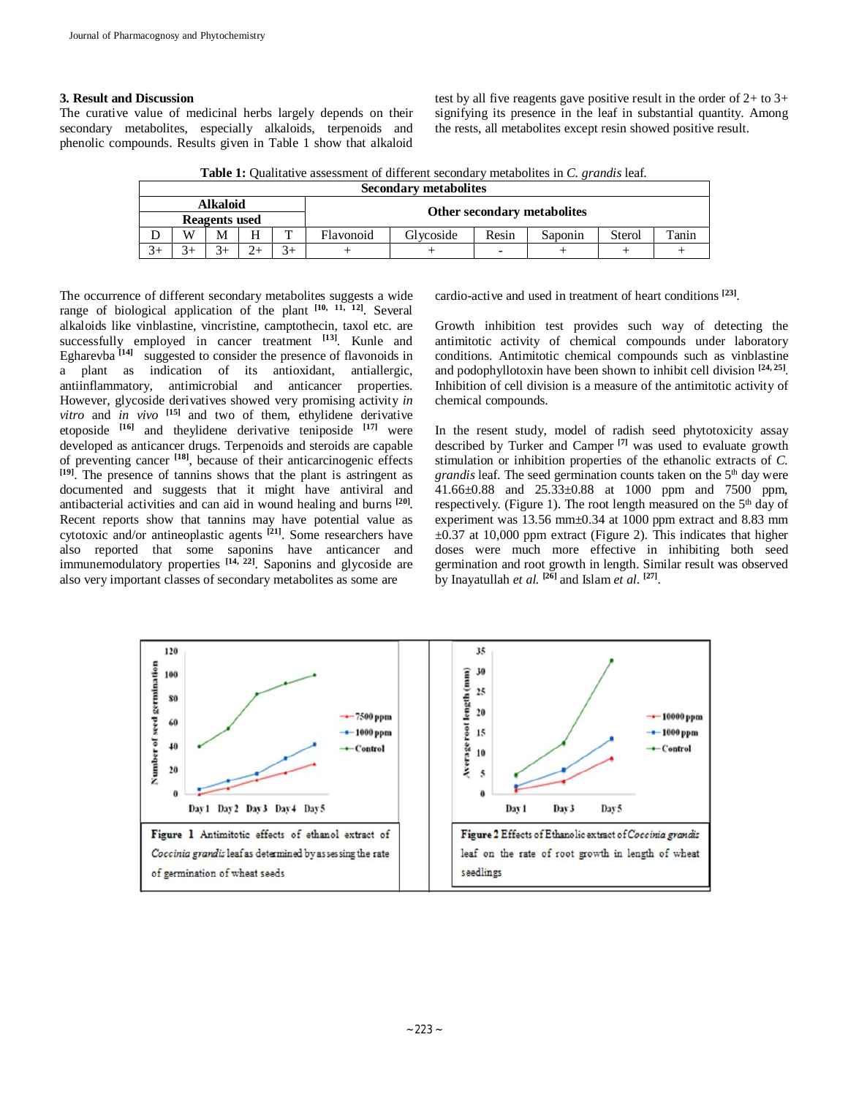### **3. Result and Discussion**

The curative value of medicinal herbs largely depends on their secondary metabolites, especially alkaloids, terpenoids and phenolic compounds. Results given in Table 1 show that alkaloid test by all five reagents gave positive result in the order of 2+ to 3+ signifying its presence in the leaf in substantial quantity. Among the rests, all metabolites except resin showed positive result.

**Table 1:** Qualitative assessment of different secondary metabolites in *C. grandis* leaf.

| <b>Secondary metabolites</b> |   |   |   |      |                                    |           |       |         |        |       |  |
|------------------------------|---|---|---|------|------------------------------------|-----------|-------|---------|--------|-------|--|
| <b>Alkaloid</b>              |   |   |   |      |                                    |           |       |         |        |       |  |
| Reagents used                |   |   |   |      | <b>Other secondary metabolites</b> |           |       |         |        |       |  |
|                              | W | M | H | m    | Flavonoid                          | Glycoside | Resin | Saponin | Sterol | Tanin |  |
| $3+$                         |   |   |   | $3+$ |                                    |           | -     |         |        |       |  |

The occurrence of different secondary metabolites suggests a wide range of biological application of the plant **[10, 11, 12]**. Several alkaloids like vinblastine, vincristine, camptothecin, taxol etc. are successfully employed in cancer treatment **[13]**. Kunle and Egharevba<sup>[14]</sup> suggested to consider the presence of flavonoids in a plant as indication of its antioxidant, antiallergic, antiinflammatory, antimicrobial and anticancer properties. However, glycoside derivatives showed very promising activity *in vitro* and *in vivo* **[15]** and two of them, ethylidene derivative etoposide **[16]** and theylidene derivative teniposide **[17]** were developed as anticancer drugs. Terpenoids and steroids are capable of preventing cancer **[18]**, because of their anticarcinogenic effects **[19]**. The presence of tannins shows that the plant is astringent as documented and suggests that it might have antiviral and antibacterial activities and can aid in wound healing and burns **[20]** . Recent reports show that tannins may have potential value as cytotoxic and/or antineoplastic agents **[21]**. Some researchers have also reported that some saponins have anticancer and immunemodulatory properties **[14, 22]**. Saponins and glycoside are also very important classes of secondary metabolites as some are

cardio-active and used in treatment of heart conditions **[23]** .

Growth inhibition test provides such way of detecting the antimitotic activity of chemical compounds under laboratory conditions. Antimitotic chemical compounds such as vinblastine and podophyllotoxin have been shown to inhibit cell division **[24, 25]** . Inhibition of cell division is a measure of the antimitotic activity of chemical compounds.

In the resent study, model of radish seed phytotoxicity assay described by Turker and Camper **[7]** was used to evaluate growth stimulation or inhibition properties of the ethanolic extracts of *C. grandis* leaf. The seed germination counts taken on the 5<sup>th</sup> day were 41.66±0.88 and 25.33±0.88 at 1000 ppm and 7500 ppm, respectively. (Figure 1). The root length measured on the  $5<sup>th</sup>$  day of experiment was 13.56 mm $\pm$ 0.34 at 1000 ppm extract and 8.83 mm  $\pm 0.37$  at 10,000 ppm extract (Figure 2). This indicates that higher doses were much more effective in inhibiting both seed germination and root growth in length. Similar result was observed by Inayatullah *et al.* **[26]** and Islam *et al.* **[27]** .

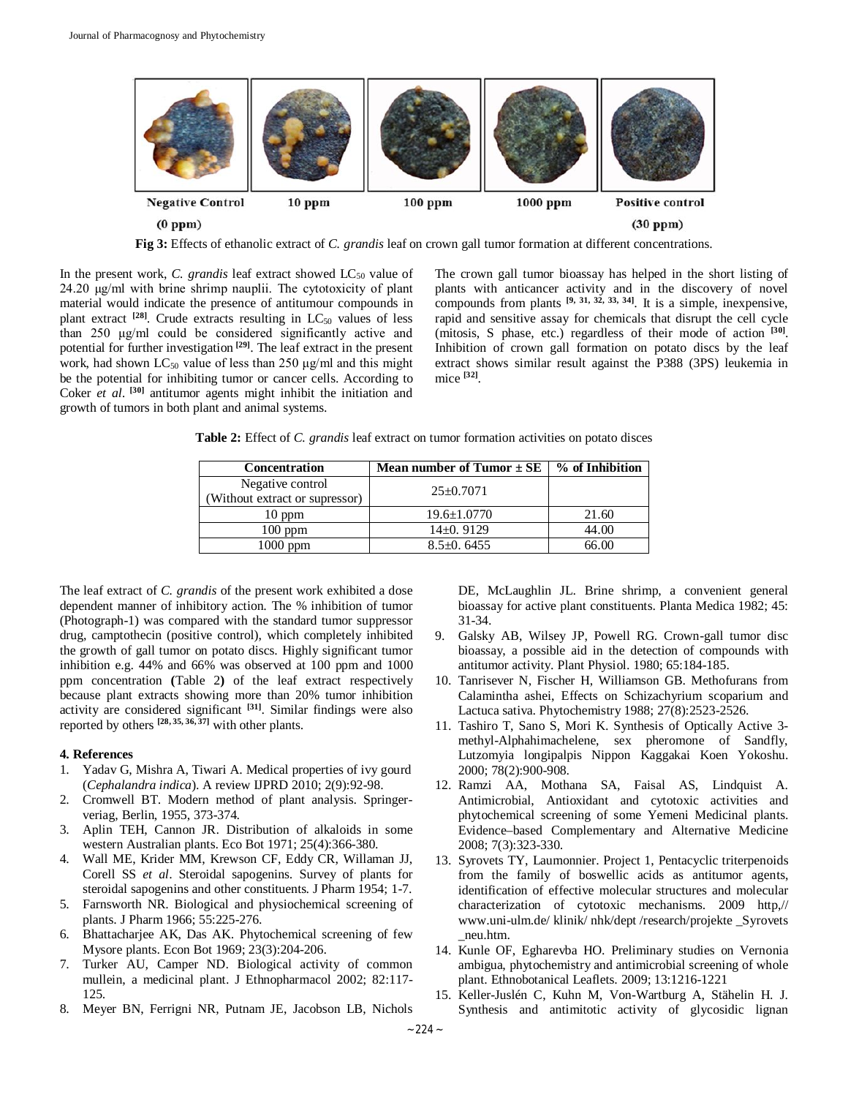

**Fig 3:** Effects of ethanolic extract of *C. grandis* leaf on crown gall tumor formation at different concentrations.

In the present work, *C. grandis* leaf extract showed LC<sub>50</sub> value of 24.20 μg/ml with brine shrimp nauplii. The cytotoxicity of plant material would indicate the presence of antitumour compounds in plant extract  $[28]$ . Crude extracts resulting in  $LC_{50}$  values of less than 250 μg/ml could be considered significantly active and potential for further investigation **[29]**. The leaf extract in the present work, had shown  $LC_{50}$  value of less than 250  $\mu$ g/ml and this might be the potential for inhibiting tumor or cancer cells. According to Coker *et al.* <sup>[30]</sup> antitumor agents might inhibit the initiation and growth of tumors in both plant and animal systems.

The crown gall tumor bioassay has helped in the short listing of plants with anticancer activity and in the discovery of novel compounds from plants  $[9, 31, 32, 33, 34]$ . It is a simple, inexpensive, rapid and sensitive assay for chemicals that disrupt the cell cycle (mitosis, S phase, etc.) regardless of their mode of action **[30]** . Inhibition of crown gall formation on potato discs by the leaf extract shows similar result against the P388 (3PS) leukemia in mice **[32]** .

**Table 2:** Effect of *C. grandis* leaf extract on tumor formation activities on potato disces

| <b>Concentration</b>                               | <b>Mean number of Tumor</b> $\pm$ SE | % of Inhibition |
|----------------------------------------------------|--------------------------------------|-----------------|
| Negative control<br>(Without extract or supressor) | $25 \pm 0.7071$                      |                 |
| $10$ ppm                                           | $19.6 \pm 1.0770$                    | 21.60           |
| $100$ ppm                                          | $14\pm0.9129$                        | 44.00           |
| $1000$ ppm                                         | $8.5 \pm 0.6455$                     | 66.00           |

The leaf extract of *C. grandis* of the present work exhibited a dose dependent manner of inhibitory action. The % inhibition of tumor (Photograph-1) was compared with the standard tumor suppressor drug, camptothecin (positive control), which completely inhibited the growth of gall tumor on potato discs. Highly significant tumor inhibition e.g. 44% and 66% was observed at 100 ppm and 1000 ppm concentration **(**Table 2**)** of the leaf extract respectively because plant extracts showing more than 20% tumor inhibition activity are considered significant **[31]**. Similar findings were also reported by others **[28, 35, 36, 37]** with other plants.

#### **4. References**

- 1. Yadav G, Mishra A, Tiwari A. Medical properties of ivy gourd (*Cephalandra indica*). A review IJPRD 2010; 2(9):92-98.
- 2. Cromwell BT. Modern method of plant analysis. Springerveriag, Berlin, 1955, 373-374.
- 3. Aplin TEH, Cannon JR. Distribution of alkaloids in some western Australian plants. Eco Bot 1971; 25(4):366-380.
- 4. Wall ME, Krider MM, Krewson CF, Eddy CR, Willaman JJ, Corell SS *et al*. Steroidal sapogenins. Survey of plants for steroidal sapogenins and other constituents. J Pharm 1954; 1-7.
- 5. Farnsworth NR. Biological and physiochemical screening of plants. J Pharm 1966; 55:225-276.
- 6. Bhattacharjee AK, Das AK. Phytochemical screening of few Mysore plants. Econ Bot 1969; 23(3):204-206.
- 7. Turker AU, Camper ND. Biological activity of common mullein, a medicinal plant. J Ethnopharmacol 2002; 82:117- 125.
- 8. Meyer BN, Ferrigni NR, Putnam JE, Jacobson LB, Nichols

DE, McLaughlin JL. Brine shrimp, a convenient general bioassay for active plant constituents. Planta Medica 1982; 45: 31-34.

- 9. Galsky AB, Wilsey JP, Powell RG. Crown-gall tumor disc bioassay, a possible aid in the detection of compounds with antitumor activity. Plant Physiol. 1980; 65:184-185.
- 10. Tanrisever N, Fischer H, Williamson GB. Methofurans from Calamintha ashei, Effects on Schizachyrium scoparium and Lactuca sativa. Phytochemistry 1988; 27(8):2523-2526.
- 11. Tashiro T, Sano S, Mori K. Synthesis of Optically Active 3 methyl-Alphahimachelene, sex pheromone of Sandfly, Lutzomyia longipalpis Nippon Kaggakai Koen Yokoshu. 2000; 78(2):900-908.
- 12. Ramzi AA, Mothana SA, Faisal AS, Lindquist A. Antimicrobial, Antioxidant and cytotoxic activities and phytochemical screening of some Yemeni Medicinal plants. Evidence–based Complementary and Alternative Medicine 2008; 7(3):323-330.
- 13. Syrovets TY, Laumonnier. Project 1, Pentacyclic triterpenoids from the family of boswellic acids as antitumor agents, identification of effective molecular structures and molecular characterization of cytotoxic mechanisms. 2009 http,// www.uni-ulm.de/ klinik/ nhk/dept /research/projekte \_Syrovets \_neu.htm.
- 14. Kunle OF, Egharevba HO. Preliminary studies on Vernonia ambigua, phytochemistry and antimicrobial screening of whole plant. Ethnobotanical Leaflets. 2009; 13:1216-1221
- 15. Keller-Juslén C, Kuhn M, Von-Wartburg A, Stähelin H. J. Synthesis and antimitotic activity of glycosidic lignan